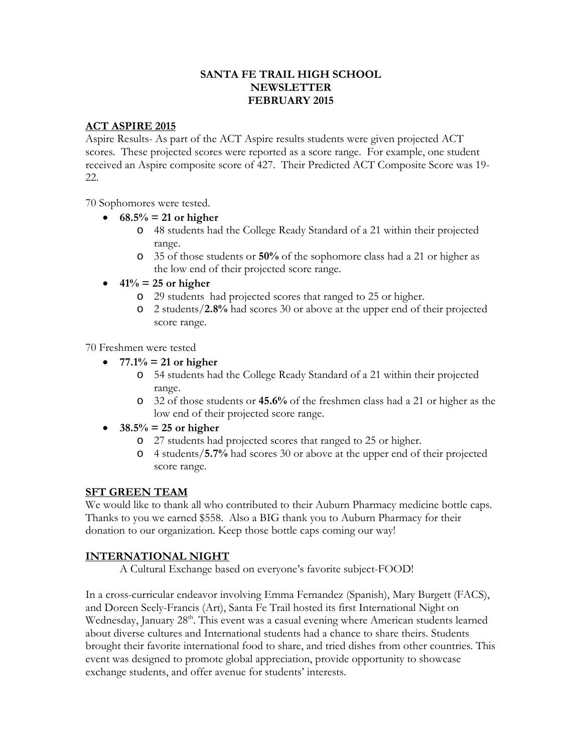# **SANTA FE TRAIL HIGH SCHOOL NEWSLETTER FEBRUARY 2015**

# **ACT ASPIRE 2015**

Aspire Results- As part of the ACT Aspire results students were given projected ACT scores. These projected scores were reported as a score range. For example, one student received an Aspire composite score of 427. Their Predicted ACT Composite Score was 19- 22.

70 Sophomores were tested.

- $68.5\% = 21$  or higher
	- o 48 students had the College Ready Standard of a 21 within their projected range.
	- o 35 of those students or **50%** of the sophomore class had a 21 or higher as the low end of their projected score range.
- $41\% = 25$  or higher
	- o 29 students had projected scores that ranged to 25 or higher.
	- o 2 students/**2.8%** had scores 30 or above at the upper end of their projected score range.

70 Freshmen were tested

- $77.1\% = 21$  or higher
	- o 54 students had the College Ready Standard of a 21 within their projected range.
	- o 32 of those students or **45.6%** of the freshmen class had a 21 or higher as the low end of their projected score range.
- $38.5\% = 25$  or higher
	- o 27 students had projected scores that ranged to 25 or higher.
	- o 4 students/**5.7%** had scores 30 or above at the upper end of their projected score range.

# **SFT GREEN TEAM**

We would like to thank all who contributed to their Auburn Pharmacy medicine bottle caps. Thanks to you we earned \$558. Also a BIG thank you to Auburn Pharmacy for their donation to our organization. Keep those bottle caps coming our way!

# **INTERNATIONAL NIGHT**

A Cultural Exchange based on everyone's favorite subject-FOOD!

In a cross-curricular endeavor involving Emma Fernandez (Spanish), Mary Burgett (FACS), and Doreen Seely-Francis (Art), Santa Fe Trail hosted its first International Night on Wednesday, January  $28<sup>th</sup>$ . This event was a casual evening where American students learned about diverse cultures and International students had a chance to share theirs. Students brought their favorite international food to share, and tried dishes from other countries. This event was designed to promote global appreciation, provide opportunity to showcase exchange students, and offer avenue for students' interests.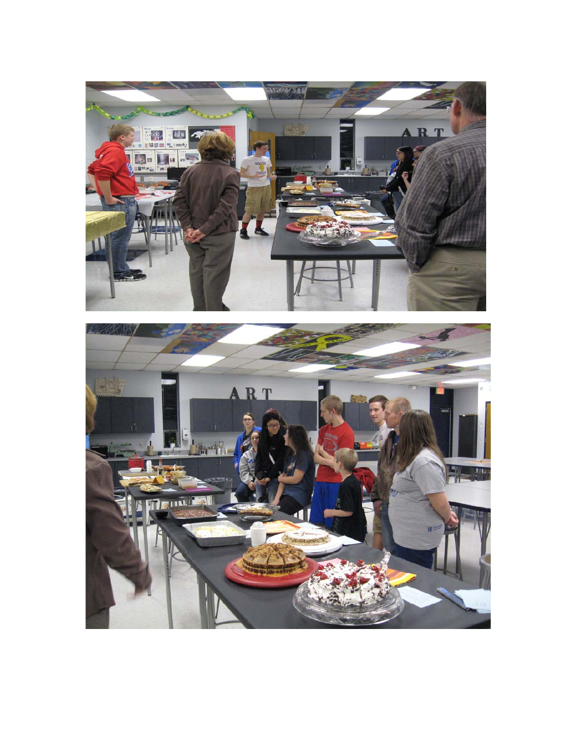